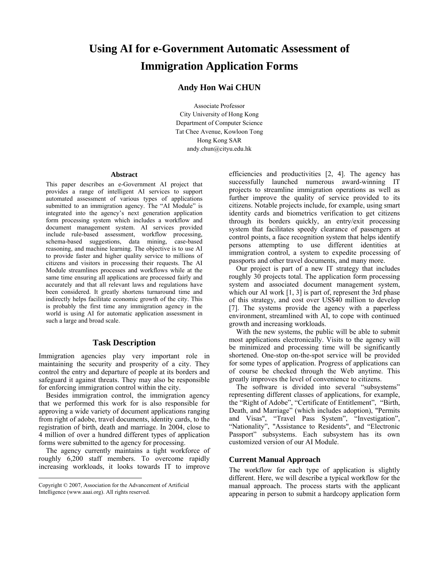# **Using AI for e-Government Automatic Assessment of Immigration Application Forms**

## **Andy Hon Wai CHUN**

Associate Professor City University of Hong Kong Department of Computer Science Tat Chee Avenue, Kowloon Tong Hong Kong SAR andy.chun@cityu.edu.hk

#### **Abstract**

This paper describes an e-Government AI project that provides a range of intelligent AI services to support automated assessment of various types of applications submitted to an immigration agency. The "AI Module" is integrated into the agency's next generation application form processing system which includes a workflow and document management system. AI services provided include rule-based assessment, workflow processing, schema-based suggestions, data mining, case-based reasoning, and machine learning. The objective is to use AI to provide faster and higher quality service to millions of citizens and visitors in processing their requests. The AI Module streamlines processes and workflows while at the same time ensuring all applications are processed fairly and accurately and that all relevant laws and regulations have been considered. It greatly shortens turnaround time and indirectly helps facilitate economic growth of the city. This is probably the first time any immigration agency in the world is using AI for automatic application assessment in such a large and broad scale.

### **Task Description**

Immigration agencies play very important role in maintaining the security and prosperity of a city. They control the entry and departure of people at its borders and safeguard it against threats. They may also be responsible for enforcing immigration control within the city.

Besides immigration control, the immigration agency that we performed this work for is also responsible for approving a wide variety of document applications ranging from right of adobe, travel documents, identity cards, to the registration of birth, death and marriage. In 2004, close to 4 million of over a hundred different types of application forms were submitted to the agency for processing.

The agency currently maintains a tight workforce of roughly 6,200 staff members. To overcome rapidly increasing workloads, it looks towards IT to improve

 $\overline{a}$ 

efficiencies and productivities [2, 4]. The agency has successfully launched numerous award-winning IT projects to streamline immigration operations as well as further improve the quality of service provided to its citizens. Notable projects include, for example, using smart identity cards and biometrics verification to get citizens through its borders quickly, an entry/exit processing system that facilitates speedy clearance of passengers at control points, a face recognition system that helps identify persons attempting to use different identities at immigration control, a system to expedite processing of passports and other travel documents, and many more.

Our project is part of a new IT strategy that includes roughly 30 projects total. The application form processing system and associated document management system, which our AI work  $[1, 3]$  is part of, represent the 3rd phase of this strategy, and cost over US\$40 million to develop [7]. The systems provide the agency with a paperless environment, streamlined with AI, to cope with continued growth and increasing workloads.

With the new systems, the public will be able to submit most applications electronically. Visits to the agency will be minimized and processing time will be significantly shortened. One-stop on-the-spot service will be provided for some types of application. Progress of applications can of course be checked through the Web anytime. This greatly improves the level of convenience to citizens.

The software is divided into several "subsystems" representing different classes of applications, for example, the "Right of Adobe", "Certificate of Entitlement", "Birth, Death, and Marriage" (which includes adoption), "Permits and Visas", "Travel Pass System", "Investigation", "Nationality", "Assistance to Residents", and "Electronic Passport" subsystems. Each subsystem has its own customized version of our AI Module.

#### **Current Manual Approach**

The workflow for each type of application is slightly different. Here, we will describe a typical workflow for the manual approach. The process starts with the applicant appearing in person to submit a hardcopy application form

Copyright © 2007, Association for the Advancement of Artificial Intelligence (www.aaai.org). All rights reserved.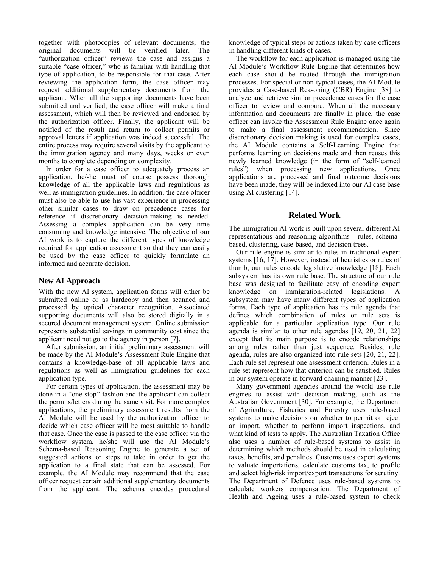together with photocopies of relevant documents; the original documents will be verified later. The "authorization officer" reviews the case and assigns a suitable "case officer," who is familiar with handling that type of application, to be responsible for that case. After reviewing the application form, the case officer may request additional supplementary documents from the applicant. When all the supporting documents have been submitted and verified, the case officer will make a final assessment, which will then be reviewed and endorsed by the authorization officer. Finally, the applicant will be notified of the result and return to collect permits or approval letters if application was indeed successful. The entire process may require several visits by the applicant to the immigration agency and many days, weeks or even months to complete depending on complexity.

In order for a case officer to adequately process an application, he/she must of course possess thorough knowledge of all the applicable laws and regulations as well as immigration guidelines. In addition, the case officer must also be able to use his vast experience in processing other similar cases to draw on precedence cases for reference if discretionary decision-making is needed. Assessing a complex application can be very time consuming and knowledge intensive. The objective of our AI work is to capture the different types of knowledge required for application assessment so that they can easily be used by the case officer to quickly formulate an informed and accurate decision.

## **New AI Approach**

With the new AI system, application forms will either be submitted online or as hardcopy and then scanned and processed by optical character recognition. Associated supporting documents will also be stored digitally in a secured document management system. Online submission represents substantial savings in community cost since the applicant need not go to the agency in person [7].

After submission, an initial preliminary assessment will be made by the AI Module's Assessment Rule Engine that contains a knowledge-base of all applicable laws and regulations as well as immigration guidelines for each application type.

For certain types of application, the assessment may be done in a "one-stop" fashion and the applicant can collect the permits/letters during the same visit. For more complex applications, the preliminary assessment results from the AI Module will be used by the authorization officer to decide which case officer will be most suitable to handle that case. Once the case is passed to the case officer via the workflow system, he/she will use the AI Module's Schema-based Reasoning Engine to generate a set of suggested actions or steps to take in order to get the application to a final state that can be assessed. For example, the AI Module may recommend that the case officer request certain additional supplementary documents from the applicant. The schema encodes procedural knowledge of typical steps or actions taken by case officers in handling different kinds of cases.

The workflow for each application is managed using the AI Module's Workflow Rule Engine that determines how each case should be routed through the immigration processes. For special or non-typical cases, the AI Module provides a Case-based Reasoning (CBR) Engine [38] to analyze and retrieve similar precedence cases for the case officer to review and compare. When all the necessary information and documents are finally in place, the case officer can invoke the Assessment Rule Engine once again to make a final assessment recommendation. Since discretionary decision making is used for complex cases, the AI Module contains a Self-Learning Engine that performs learning on decisions made and then reuses this newly learned knowledge (in the form of "self-learned rules") when processing new applications. Once applications are processed and final outcome decisions have been made, they will be indexed into our AI case base using AI clustering [14].

## **Related Work**

The immigration AI work is built upon several different AI representations and reasoning algorithms - rules, schemabased, clustering, case-based, and decision trees.

Our rule engine is similar to rules in traditional expert systems [16, 17]. However, instead of heuristics or rules of thumb, our rules encode legislative knowledge [18]. Each subsystem has its own rule base. The structure of our rule base was designed to facilitate easy of encoding expert knowledge on immigration-related legislations. A subsystem may have many different types of application forms. Each type of application has its rule agenda that defines which combination of rules or rule sets is applicable for a particular application type. Our rule agenda is similar to other rule agendas [19, 20, 21, 22] except that its main purpose is to encode relationships among rules rather than just sequence. Besides, rule agenda, rules are also organized into rule sets [20, 21, 22]. Each rule set represent one assessment criterion. Rules in a rule set represent how that criterion can be satisfied. Rules in our system operate in forward chaining manner [23].

Many government agencies around the world use rule engines to assist with decision making, such as the Australian Government [30]. For example, the Department of Agriculture, Fisheries and Forestry uses rule-based systems to make decisions on whether to permit or reject an import, whether to perform import inspections, and what kind of tests to apply. The Australian Taxation Office also uses a number of rule-based systems to assist in determining which methods should be used in calculating taxes, benefits, and penalties. Customs uses expert systems to valuate importations, calculate customs tax, to profile and select high-risk import/export transactions for scrutiny. The Department of Defence uses rule-based systems to calculate workers compensation. The Department of Health and Ageing uses a rule-based system to check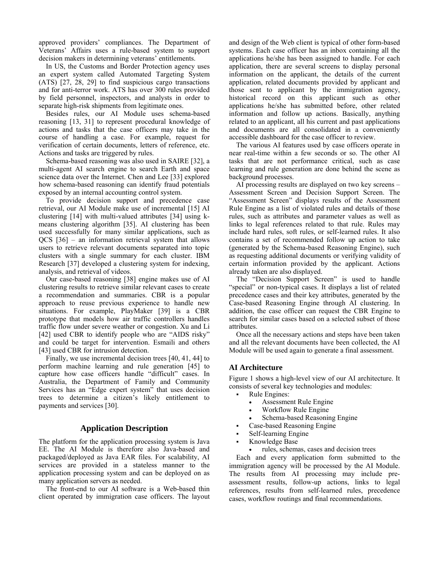approved providers' compliances. The Department of Veterans' Affairs uses a rule-based system to support decision makers in determining veterans' entitlements.

In US, the Customs and Border Protection agency uses an expert system called Automated Targeting System (ATS) [27, 28, 29] to find suspicious cargo transactions and for anti-terror work. ATS has over 300 rules provided by field personnel, inspectors, and analysts in order to separate high-risk shipments from legitimate ones.

Besides rules, our AI Module uses schema-based reasoning [13, 31] to represent procedural knowledge of actions and tasks that the case officers may take in the course of handling a case. For example, request for verification of certain documents, letters of reference, etc. Actions and tasks are triggered by rules.

Schema-based reasoning was also used in SAIRE [32], a multi-agent AI search engine to search Earth and space science data over the Internet. Chen and Lee [33] explored how schema-based reasoning can identify fraud potentials exposed by an internal accounting control system.

To provide decision support and precedence case retrieval, our AI Module make use of incremental [15] AI clustering [14] with multi-valued attributes [34] using kmeans clustering algorithm [35]. AI clustering has been used successfully for many similar applications, such as QCS [36] – an information retrieval system that allows users to retrieve relevant documents separated into topic clusters with a single summary for each cluster. IBM Research [37] developed a clustering system for indexing, analysis, and retrieval of videos.

Our case-based reasoning [38] engine makes use of AI clustering results to retrieve similar relevant cases to create a recommendation and summaries. CBR is a popular approach to reuse previous experience to handle new situations. For example, PlayMaker [39] is a CBR prototype that models how air traffic controllers handles traffic flow under severe weather or congestion. Xu and Li [42] used CBR to identify people who are "AIDS risky" and could be target for intervention. Esmaili and others [43] used CBR for intrusion detection.

Finally, we use incremental decision trees [40, 41, 44] to perform machine learning and rule generation [45] to capture how case officers handle "difficult" cases. In Australia, the Department of Family and Community Services has an "Edge expert system" that uses decision trees to determine a citizen's likely entitlement to payments and services [30].

## **Application Description**

The platform for the application processing system is Java EE. The AI Module is therefore also Java-based and packaged/deployed as Java EAR files. For scalability, AI services are provided in a stateless manner to the application processing system and can be deployed on as many application servers as needed.

 The front-end to our AI software is a Web-based thin client operated by immigration case officers. The layout and design of the Web client is typical of other form-based systems. Each case officer has an inbox containing all the applications he/she has been assigned to handle. For each application, there are several screens to display personal information on the applicant, the details of the current application, related documents provided by applicant and those sent to applicant by the immigration agency, historical record on this applicant such as other applications he/she has submitted before, other related information and follow up actions. Basically, anything related to an applicant, all his current and past applications and documents are all consolidated in a conveniently accessible dashboard for the case officer to review.

 The various AI features used by case officers operate in near real-time within a few seconds or so. The other AI tasks that are not performance critical, such as case learning and rule generation are done behind the scene as background processes.

 AI processing results are displayed on two key screens – Assessment Screen and Decision Support Screen. The "Assessment Screen" displays results of the Assessment Rule Engine as a list of violated rules and details of those rules, such as attributes and parameter values as well as links to legal references related to that rule. Rules may include hard rules, soft rules, or self-learned rules. It also contains a set of recommended follow up action to take (generated by the Schema-based Reasoning Engine), such as requesting additional documents or verifying validity of certain information provided by the applicant. Actions already taken are also displayed.

 The "Decision Support Screen" is used to handle "special" or non-typical cases. It displays a list of related precedence cases and their key attributes, generated by the Case-based Reasoning Engine through AI clustering. In addition, the case officer can request the CBR Engine to search for similar cases based on a selected subset of those attributes.

 Once all the necessary actions and steps have been taken and all the relevant documents have been collected, the AI Module will be used again to generate a final assessment.

### **AI Architecture**

Figure 1 shows a high-level view of our AI architecture. It consists of several key technologies and modules:

- Rule Engines:
	- Assessment Rule Engine
	- Workflow Rule Engine
	- Schema-based Reasoning Engine
- Case-based Reasoning Engine
- Self-learning Engine
- Knowledge Base
	- rules, schemas, cases and decision trees

 Each and every application form submitted to the immigration agency will be processed by the AI Module. The results from AI processing may include preassessment results, follow-up actions, links to legal references, results from self-learned rules, precedence cases, workflow routings and final recommendations.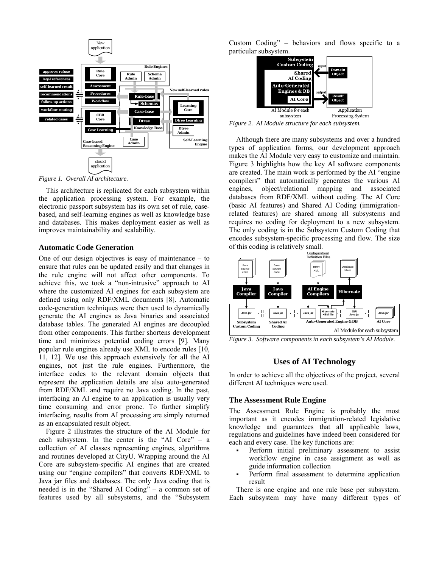

*Figure 1. Overall AI architecture.* 

 This architecture is replicated for each subsystem within the application processing system. For example, the electronic passport subsystem has its own set of rule, casebased, and self-learning engines as well as knowledge base and databases. This makes deployment easier as well as improves maintainability and scalability.

#### **Automatic Code Generation**

One of our design objectives is easy of maintenance – to ensure that rules can be updated easily and that changes in the rule engine will not affect other components. To achieve this, we took a "non-intrusive" approach to AI where the customized AI engines for each subsystem are defined using only RDF/XML documents [8]. Automatic code-generation techniques were then used to dynamically generate the AI engines as Java binaries and associated database tables. The generated AI engines are decoupled from other components. This further shortens development time and minimizes potential coding errors [9]. Many popular rule engines already use XML to encode rules [10, 11, 12]. We use this approach extensively for all the AI engines, not just the rule engines. Furthermore, the interface codes to the relevant domain objects that represent the application details are also auto-generated from RDF/XML and require no Java coding. In the past, interfacing an AI engine to an application is usually very time consuming and error prone. To further simplify interfacing, results from AI processing are simply returned as an encapsulated result object.

 Figure 2 illustrates the structure of the AI Module for each subsystem. In the center is the "AI Core" – a collection of AI classes representing engines, algorithms and routines developed at CityU. Wrapping around the AI Core are subsystem-specific AI engines that are created using our "engine compilers" that converts RDF/XML to Java jar files and databases. The only Java coding that is needed is in the "Shared AI Coding" – a common set of features used by all subsystems, and the "Subsystem Custom Coding" – behaviors and flows specific to a particular subsystem.



*Figure 2. AI Module structure for each subsystem.* 

 Although there are many subsystems and over a hundred types of application forms, our development approach makes the AI Module very easy to customize and maintain. Figure 3 highlights how the key AI software components are created. The main work is performed by the AI "engine compilers" that automatically generates the various AI engines, object/relational mapping and associated databases from RDF/XML without coding. The AI Core (basic AI features) and Shared AI Coding (immigrationrelated features) are shared among all subsystems and requires no coding for deployment to a new subsystem. The only coding is in the Subsystem Custom Coding that encodes subsystem-specific processing and flow. The size of this coding is relatively small.



*Figure 3. Software components in each subsystem's AI Module.* 

#### **Uses of AI Technology**

In order to achieve all the objectives of the project, several different AI techniques were used.

#### **The Assessment Rule Engine**

The Assessment Rule Engine is probably the most important as it encodes immigration-related legislative knowledge and guarantees that all applicable laws, regulations and guidelines have indeed been considered for each and every case. The key functions are:

- Perform initial preliminary assessment to assist workflow engine in case assignment as well as guide information collection
- Perform final assessment to determine application result

 There is one engine and one rule base per subsystem. Each subsystem may have many different types of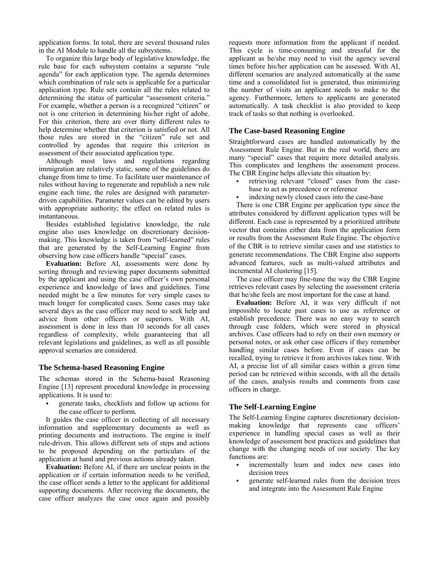application forms. In total, there are several thousand rules in the AI Module to handle all the subsystems.

 To organize this large body of legislative knowledge, the rule base for each subsystem contains a separate "rule agenda" for each application type. The agenda determines which combination of rule sets is applicable for a particular application type. Rule sets contain all the rules related to determining the status of particular "assessment criteria." For example, whether a person is a recognized "citizen" or not is one criterion in determining his/her right of adobe. For this criterion, there are over thirty different rules to help determine whether that criterion is satisfied or not. All those rules are stored in the "citizen" rule set and controlled by agendas that require this criterion in assessment of their associated application type.

 Although most laws and regulations regarding immigration are relatively static, some of the guidelines do change from time to time. To facilitate user maintenance of rules without having to regenerate and republish a new rule engine each time, the rules are designed with parameterdriven capabilities. Parameter values can be edited by users with appropriate authority; the effect on related rules is instantaneous.

 Besides established legislative knowledge, the rule engine also uses knowledge on discretionary decisionmaking. This knowledge is taken from "self-learned" rules that are generated by the Self-Learning Engine from observing how case officers handle "special" cases.

**Evaluation:** Before AI, assessments were done by sorting through and reviewing paper documents submitted by the applicant and using the case officer's own personal experience and knowledge of laws and guidelines. Time needed might be a few minutes for very simple cases to much longer for complicated cases. Some cases may take several days as the case officer may need to seek help and advice from other officers or superiors. With AI, assessment is done in less than 10 seconds for all cases regardless of complexity, while guaranteeing that all relevant legislations and guidelines, as well as all possible approval scenarios are considered.

#### **The Schema-based Reasoning Engine**

The schemas stored in the Schema-based Reasoning Engine [13] represent procedural knowledge in processing applications. It is used to:

 generate tasks, checklists and follow up actions for the case officer to perform.

 It guides the case officer in collecting of all necessary information and supplementary documents as well as printing documents and instructions. The engine is itself rule-driven. This allows different sets of steps and actions to be proposed depending on the particulars of the application at hand and previous actions already taken.

**Evaluation:** Before AI, if there are unclear points in the application or if certain information needs to be verified, the case officer sends a letter to the applicant for additional supporting documents. After receiving the documents, the case officer analyzes the case once again and possibly requests more information from the applicant if needed. This cycle is time-consuming and stressful for the applicant as he/she may need to visit the agency several times before his/her application can be assessed. With AI, different scenarios are analyzed automatically at the same time and a consolidated list is generated, thus minimizing the number of visits an applicant needs to make to the agency. Furthermore, letters to applicants are generated automatically. A task checklist is also provided to keep track of tasks so that nothing is overlooked.

#### **The Case-based Reasoning Engine**

Straightforward cases are handled automatically by the Assessment Rule Engine. But in the real world, there are many "special" cases that require more detailed analysis. This complicates and lengthens the assessment process. The CBR Engine helps alleviate this situation by:

- retrieving relevant "closed" cases from the casebase to act as precedence or reference
- indexing newly closed cases into the case-base

 There is one CBR Engine per application type since the attributes considered by different application types will be different. Each case is represented by a prioritized attribute vector that contains either data from the application form or results from the Assessment Rule Engine. The objective of the CBR is to retrieve similar cases and use statistics to generate recommendations. The CBR Engine also supports advanced features, such as multi-valued attributes and incremental AI clustering [15].

 The case officer may fine-tune the way the CBR Engine retrieves relevant cases by selecting the assessment criteria that he/she feels are most important for the case at hand.

**Evaluation:** Before AI, it was very difficult if not impossible to locate past cases to use as reference or establish precedence. There was no easy way to search through case folders, which were stored in physical archives. Case officers had to rely on their own memory or personal notes, or ask other case officers if they remember handling similar cases before. Even if cases can be recalled, trying to retrieve it from archives takes time. With AI, a precise list of all similar cases within a given time period can be retrieved within seconds, with all the details of the cases, analysis results and comments from case officers in charge.

#### **The Self-Learning Engine**

The Self-Learning Engine captures discretionary decisionmaking knowledge that represents case officers' experience in handling special cases as well as their knowledge of assessment best practices and guidelines that change with the changing needs of our society. The key functions are:

- incrementally learn and index new cases into decision trees
- generate self-learned rules from the decision trees and integrate into the Assessment Rule Engine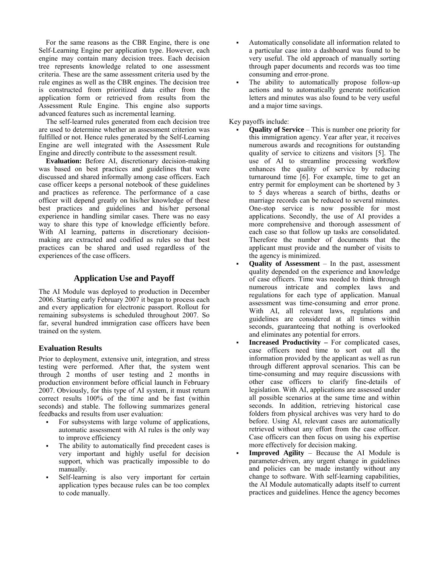For the same reasons as the CBR Engine, there is one Self-Learning Engine per application type. However, each engine may contain many decision trees. Each decision tree represents knowledge related to one assessment criteria. These are the same assessment criteria used by the rule engines as well as the CBR engines. The decision tree is constructed from prioritized data either from the application form or retrieved from results from the Assessment Rule Engine. This engine also supports advanced features such as incremental learning.

 The self-learned rules generated from each decision tree are used to determine whether an assessment criterion was fulfilled or not. Hence rules generated by the Self-Learning Engine are well integrated with the Assessment Rule Engine and directly contribute to the assessment result.

**Evaluation:** Before AI, discretionary decision-making was based on best practices and guidelines that were discussed and shared informally among case officers. Each case officer keeps a personal notebook of these guidelines and practices as reference. The performance of a case officer will depend greatly on his/her knowledge of these best practices and guidelines and his/her personal experience in handling similar cases. There was no easy way to share this type of knowledge efficiently before. With AI learning, patterns in discretionary decisionmaking are extracted and codified as rules so that best practices can be shared and used regardless of the experiences of the case officers.

## **Application Use and Payoff**

The AI Module was deployed to production in December 2006. Starting early February 2007 it began to process each and every application for electronic passport. Rollout for remaining subsystems is scheduled throughout 2007. So far, several hundred immigration case officers have been trained on the system.

## **Evaluation Results**

Prior to deployment, extensive unit, integration, and stress testing were performed. After that, the system went through 2 months of user testing and 2 months in production environment before official launch in February 2007. Obviously, for this type of AI system, it must return correct results 100% of the time and be fast (within seconds) and stable. The following summarizes general feedbacks and results from user evaluation:

- For subsystems with large volume of applications, automatic assessment with AI rules is the only way to improve efficiency
- The ability to automatically find precedent cases is very important and highly useful for decision support, which was practically impossible to do manually.
- Self-learning is also very important for certain application types because rules can be too complex to code manually.
- Automatically consolidate all information related to a particular case into a dashboard was found to be very useful. The old approach of manually sorting through paper documents and records was too time consuming and error-prone.
- The ability to automatically propose follow-up actions and to automatically generate notification letters and minutes was also found to be very useful and a major time savings.

## Key payoffs include:

- **Quality of Service**  This is number one priority for this immigration agency. Year after year, it receives numerous awards and recognitions for outstanding quality of service to citizens and visitors [5]. The use of AI to streamline processing workflow enhances the quality of service by reducing turnaround time [6]. For example, time to get an entry permit for employment can be shortened by 3 to 5 days whereas a search of births, deaths or marriage records can be reduced to several minutes. One-stop service is now possible for most applications. Secondly, the use of AI provides a more comprehensive and thorough assessment of each case so that follow up tasks are consolidated. Therefore the number of documents that the applicant must provide and the number of visits to the agency is minimized.
- **Quality of Assessment** In the past, assessment quality depended on the experience and knowledge of case officers. Time was needed to think through numerous intricate and complex laws and regulations for each type of application. Manual assessment was time-consuming and error prone. With AI, all relevant laws, regulations and guidelines are considered at all times within seconds, guaranteeing that nothing is overlooked and eliminates any potential for errors.
- **Increased Productivity** For complicated cases, case officers need time to sort out all the information provided by the applicant as well as run through different approval scenarios. This can be time-consuming and may require discussions with other case officers to clarify fine-details of legislation. With AI, applications are assessed under all possible scenarios at the same time and within seconds. In addition, retrieving historical case folders from physical archives was very hard to do before. Using AI, relevant cases are automatically retrieved without any effort from the case officer. Case officers can then focus on using his expertise more effectively for decision making.
- **Improved Agility**  Because the AI Module is parameter-driven, any urgent change in guidelines and policies can be made instantly without any change to software. With self-learning capabilities, the AI Module automatically adapts itself to current practices and guidelines. Hence the agency becomes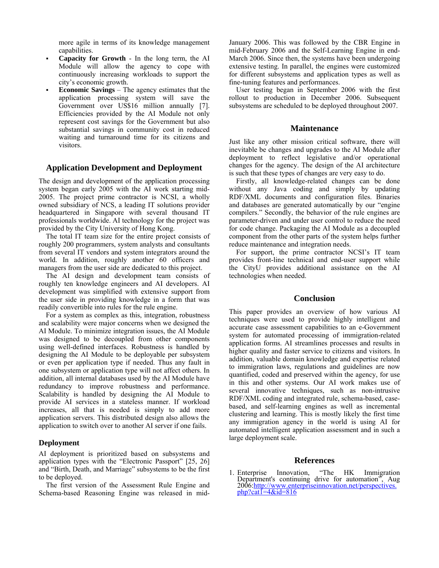more agile in terms of its knowledge management capabilities.

- **Capacity for Growth** In the long term, the AI Module will allow the agency to cope with continuously increasing workloads to support the city's economic growth.
- **Economic Savings**  The agency estimates that the application processing system will save the Government over US\$16 million annually [7]. Efficiencies provided by the AI Module not only represent cost savings for the Government but also substantial savings in community cost in reduced waiting and turnaround time for its citizens and visitors.

#### **Application Development and Deployment**

The design and development of the application processing system began early 2005 with the AI work starting mid-2005. The project prime contractor is NCSI, a wholly owned subsidiary of NCS, a leading IT solutions provider headquartered in Singapore with several thousand IT professionals worldwide. AI technology for the project was provided by the City University of Hong Kong.

 The total IT team size for the entire project consists of roughly 200 programmers, system analysts and consultants from several IT vendors and system integrators around the world. In addition, roughly another 60 officers and managers from the user side are dedicated to this project.

 The AI design and development team consists of roughly ten knowledge engineers and AI developers. AI development was simplified with extensive support from the user side in providing knowledge in a form that was readily convertible into rules for the rule engine.

 For a system as complex as this, integration, robustness and scalability were major concerns when we designed the AI Module. To minimize integration issues, the AI Module was designed to be decoupled from other components using well-defined interfaces. Robustness is handled by designing the AI Module to be deployable per subsystem or even per application type if needed. Thus any fault in one subsystem or application type will not affect others. In addition, all internal databases used by the AI Module have redundancy to improve robustness and performance. Scalability is handled by designing the AI Module to provide AI services in a stateless manner. If workload increases, all that is needed is simply to add more application servers. This distributed design also allows the application to switch over to another AI server if one fails.

#### **Deployment**

AI deployment is prioritized based on subsystems and application types with the "Electronic Passport" [25, 26] and "Birth, Death, and Marriage" subsystems to be the first to be deployed.

 The first version of the Assessment Rule Engine and Schema-based Reasoning Engine was released in midJanuary 2006. This was followed by the CBR Engine in mid-February 2006 and the Self-Learning Engine in end-March 2006. Since then, the systems have been undergoing extensive testing. In parallel, the engines were customized for different subsystems and application types as well as fine-tuning features and performances.

 User testing began in September 2006 with the first rollout to production in December 2006. Subsequent subsystems are scheduled to be deployed throughout 2007.

#### **Maintenance**

Just like any other mission critical software, there will inevitable be changes and upgrades to the AI Module after deployment to reflect legislative and/or operational changes for the agency. The design of the AI architecture is such that these types of changes are very easy to do.

 Firstly, all knowledge-related changes can be done without any Java coding and simply by updating RDF/XML documents and configuration files. Binaries and databases are generated automatically by our "engine compilers." Secondly, the behavior of the rule engines are parameter-driven and under user control to reduce the need for code change. Packaging the AI Module as a decoupled component from the other parts of the system helps further reduce maintenance and integration needs.

 For support, the prime contractor NCSI's IT team provides front-line technical and end-user support while the CityU provides additional assistance on the AI technologies when needed.

#### **Conclusion**

This paper provides an overview of how various AI techniques were used to provide highly intelligent and accurate case assessment capabilities to an e-Government system for automated processing of immigration-related application forms. AI streamlines processes and results in higher quality and faster service to citizens and visitors. In addition, valuable domain knowledge and expertise related to immigration laws, regulations and guidelines are now quantified, coded and preserved within the agency, for use in this and other systems. Our AI work makes use of several innovative techniques, such as non-intrusive RDF/XML coding and integrated rule, schema-based, casebased, and self-learning engines as well as incremental clustering and learning. This is mostly likely the first time any immigration agency in the world is using AI for automated intelligent application assessment and in such a large deployment scale.

#### **References**

1. Enterprise Innovation, "The HK Immigration Department's continuing drive for automation", Aug 2006:http://www.enterpriseinnovation.net/perspectives. php?cat1=4&id=816